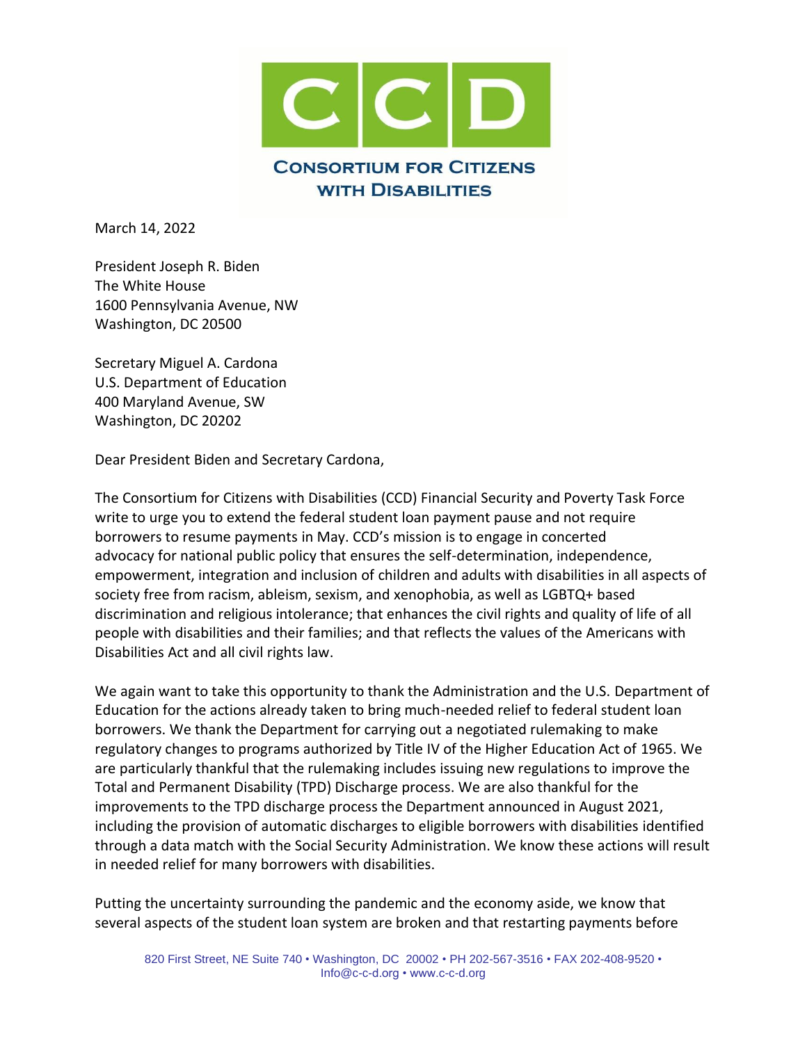

March 14, 2022

President Joseph R. Biden The White House 1600 Pennsylvania Avenue, NW Washington, DC 20500

Secretary Miguel A. Cardona U.S. Department of Education 400 Maryland Avenue, SW Washington, DC 20202

Dear President Biden and Secretary Cardona,

The Consortium for Citizens with Disabilities (CCD) Financial Security and Poverty Task Force write to urge you to extend the federal student loan payment pause and not require borrowers to resume payments in May. CCD's mission is to engage in concerted advocacy for national public policy that ensures the self-determination, independence, empowerment, integration and inclusion of children and adults with disabilities in all aspects of society free from racism, ableism, sexism, and xenophobia, as well as LGBTQ+ based discrimination and religious intolerance; that enhances the civil rights and quality of life of all people with disabilities and their families; and that reflects the values of the Americans with Disabilities Act and all civil rights law.

We again want to take this opportunity to thank the Administration and the U.S. Department of Education for the actions already taken to bring much-needed relief to federal student loan borrowers. We thank the Department for carrying out a negotiated rulemaking to make regulatory changes to programs authorized by Title IV of the Higher Education Act of 1965. We are particularly thankful that the rulemaking includes issuing new regulations to improve the Total and Permanent Disability (TPD) Discharge process. We are also thankful for the improvements to the TPD discharge process the Department announced in August 2021, including the provision of automatic discharges to eligible borrowers with disabilities identified through a data match with the Social Security Administration. We know these actions will result in needed relief for many borrowers with disabilities.

Putting the uncertainty surrounding the pandemic and the economy aside, we know that several aspects of the student loan system are broken and that restarting payments before